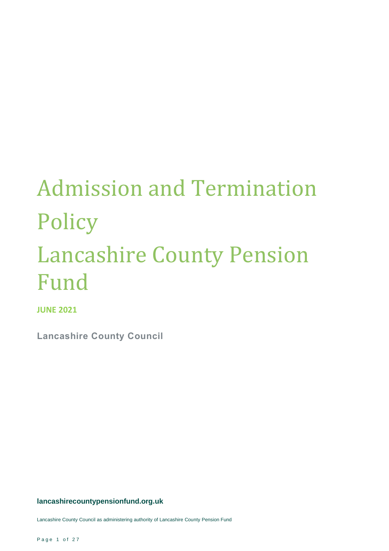# Admission and Termination Policy Lancashire County Pension Fund

**JUNE 2021**

**Lancashire County Council**

**lancashirecountypensionfund.org.uk**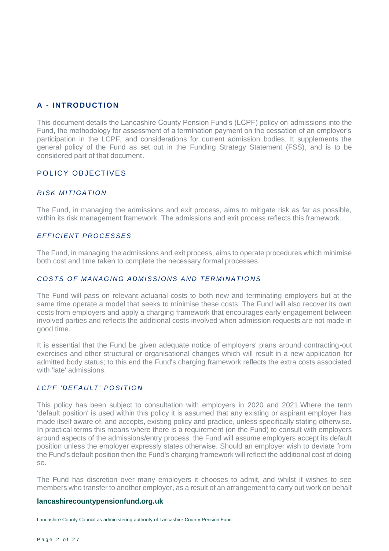# **A - INT RODU CT ION**

This document details the Lancashire County Pension Fund's (LCPF) policy on admissions into the Fund, the methodology for assessment of a termination payment on the cessation of an employer's participation in the LCPF, and considerations for current admission bodies. It supplements the general policy of the Fund as set out in the Funding Strategy Statement (FSS), and is to be considered part of that document.

# POL ICY OBJECTIVES

#### *RISK MITIGATION*

The Fund, in managing the admissions and exit process, aims to mitigate risk as far as possible, within its risk management framework. The admissions and exit process reflects this framework.

#### *EFFICIENT PROCESSES*

The Fund, in managing the admissions and exit process, aims to operate procedures which minimise both cost and time taken to complete the necessary formal processes.

### COSTS OF MANAGING ADMISSIONS AND TERMINATIONS

The Fund will pass on relevant actuarial costs to both new and terminating employers but at the same time operate a model that seeks to minimise these costs. The Fund will also recover its own costs from employers and apply a charging framework that encourages early engagement between involved parties and reflects the additional costs involved when admission requests are not made in good time.

It is essential that the Fund be given adequate notice of employers' plans around contracting-out exercises and other structural or organisational changes which will result in a new application for admitted body status; to this end the Fund's charging framework reflects the extra costs associated with 'late' admissions.

#### *LCPF 'DEFAULT' POSITION*

This policy has been subject to consultation with employers in 2020 and 2021.Where the term 'default position' is used within this policy it is assumed that any existing or aspirant employer has made itself aware of, and accepts, existing policy and practice, unless specifically stating otherwise. In practical terms this means where there is a requirement (on the Fund) to consult with employers around aspects of the admissions/entry process, the Fund will assume employers accept its default position unless the employer expressly states otherwise. Should an employer wish to deviate from the Fund's default position then the Fund's charging framework will reflect the additional cost of doing so.

The Fund has discretion over many employers it chooses to admit, and whilst it wishes to see members who transfer to another employer, as a result of an arrangement to carry out work on behalf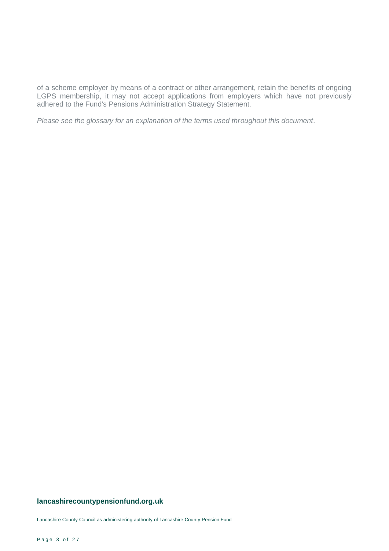of a scheme employer by means of a contract or other arrangement, retain the benefits of ongoing LGPS membership, it may not accept applications from employers which have not previously adhered to the Fund's Pensions Administration Strategy Statement.

*Please see the glossary for an explanation of the terms used throughout this document*.

#### **lancashirecountypensionfund.org.uk**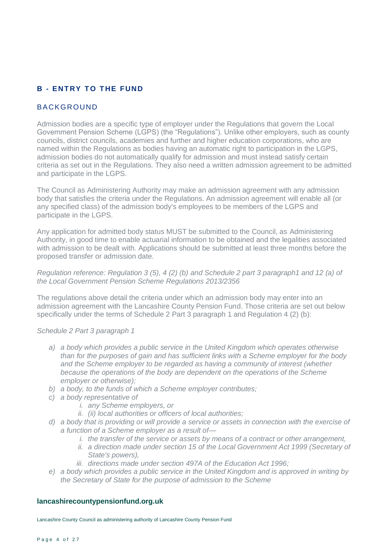# **B - ENTRY TO THE FUND**

# BACKGROUND

Admission bodies are a specific type of employer under the Regulations that govern the Local Government Pension Scheme (LGPS) (the "Regulations"). Unlike other employers, such as county councils, district councils, academies and further and higher education corporations, who are named within the Regulations as bodies having an automatic right to participation in the LGPS, admission bodies do not automatically qualify for admission and must instead satisfy certain criteria as set out in the Regulations. They also need a written admission agreement to be admitted and participate in the LGPS.

The Council as Administering Authority may make an admission agreement with any admission body that satisfies the criteria under the Regulations. An admission agreement will enable all (or any specified class) of the admission body's employees to be members of the LGPS and participate in the LGPS.

Any application for admitted body status MUST be submitted to the Council, as Administering Authority, in good time to enable actuarial information to be obtained and the legalities associated with admission to be dealt with. Applications should be submitted at least three months before the proposed transfer or admission date.

#### *Regulation reference: Regulation 3 (5), 4 (2) (b) and Schedule 2 part 3 paragraph1 and 12 (a) of the Local Government Pension Scheme Regulations 2013/2356*

The regulations above detail the criteria under which an admission body may enter into an admission agreement with the Lancashire County Pension Fund. Those criteria are set out below specifically under the terms of Schedule 2 Part 3 paragraph 1 and Regulation 4 (2) (b):

#### *Schedule 2 Part 3 paragraph 1*

- *a) a body which provides a public service in the United Kingdom which operates otherwise than for the purposes of gain and has sufficient links with a Scheme employer for the body and the Scheme employer to be regarded as having a community of interest (whether because the operations of the body are dependent on the operations of the Scheme employer or otherwise);*
- *b) a body, to the funds of which a Scheme employer contributes;*
- *c) a body representative of*
	- *i. any Scheme employers, or*
	- *ii. (ii) local authorities or officers of local authorities;*
- *d) a body that is providing or will provide a service or assets in connection with the exercise of a function of a Scheme employer as a result of*
	- *i. the transfer of the service or assets by means of a contract or other arrangement,*
	- *ii.* a direction made under section 15 of the Local Government Act 1999 (Secretary of *State's powers),*
	- *iii. directions made under section 497A of the Education Act 1996;*
- *e) a body which provides a public service in the United Kingdom and is approved in writing by the Secretary of State for the purpose of admission to the Scheme*

#### **lancashirecountypensionfund.org.uk**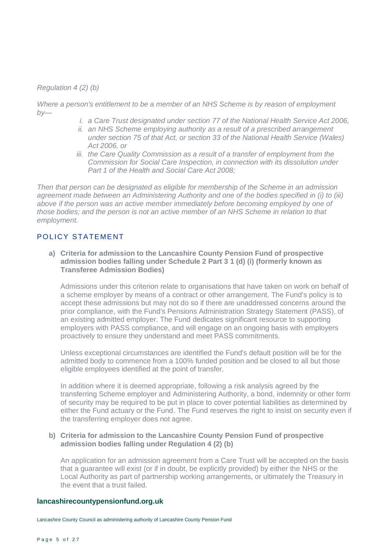*Regulation 4 (2) (b)* 

*Where a person's entitlement to be a member of an NHS Scheme is by reason of employment by—*

- *i. a Care Trust designated under section 77 of the National Health Service Act 2006,*
- *ii. an NHS Scheme employing authority as a result of a prescribed arrangement under section 75 of that Act, or section 33 of the National Health Service (Wales) Act 2006, or*
- *iii. the Care Quality Commission as a result of a transfer of employment from the Commission for Social Care Inspection, in connection with its dissolution under Part 1 of the Health and Social Care Act 2008;*

*Then that person can be designated as eligible for membership of the Scheme in an admission agreement made between an Administering Authority and one of the bodies specified in (i) to (iii)*  above if the person was an active member immediately before becoming employed by one of *those bodies; and the person is not an active member of an NHS Scheme in relation to that employment.* 

# POLICY STATEMENT

**a) Criteria for admission to the Lancashire County Pension Fund of prospective admission bodies falling under Schedule 2 Part 3 1 (d) (i) (formerly known as Transferee Admission Bodies)** 

Admissions under this criterion relate to organisations that have taken on work on behalf of a scheme employer by means of a contract or other arrangement. The Fund's policy is to accept these admissions but may not do so if there are unaddressed concerns around the prior compliance, with the Fund's Pensions Administration Strategy Statement (PASS), of an existing admitted employer. The Fund dedicates significant resource to supporting employers with PASS compliance, and will engage on an ongoing basis with employers proactively to ensure they understand and meet PASS commitments.

Unless exceptional circumstances are identified the Fund's default position will be for the admitted body to commence from a 100% funded position and be closed to all but those eligible employees identified at the point of transfer.

In addition where it is deemed appropriate, following a risk analysis agreed by the transferring Scheme employer and Administering Authority, a bond, indemnity or other form of security may be required to be put in place to cover potential liabilities as determined by either the Fund actuary or the Fund. The Fund reserves the right to insist on security even if the transferring employer does not agree.

#### **b) Criteria for admission to the Lancashire County Pension Fund of prospective admission bodies falling under Regulation 4 (2) (b)**

An application for an admission agreement from a Care Trust will be accepted on the basis that a guarantee will exist (or if in doubt, be explicitly provided) by either the NHS or the Local Authority as part of partnership working arrangements, or ultimately the Treasury in the event that a trust failed.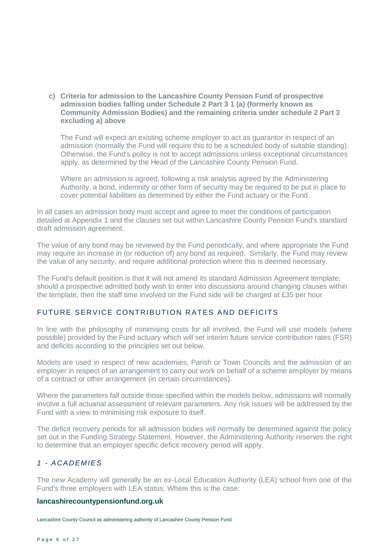**c) Criteria for admission to the Lancashire County Pension Fund of prospective admission bodies falling under Schedule 2 Part 3 1 (a) (formerly known as Community Admission Bodies) and the remaining criteria under schedule 2 Part 3 excluding a) above** 

The Fund will expect an existing scheme employer to act as guarantor in respect of an admission (normally the Fund will require this to be a scheduled body of suitable standing). Otherwise, the Fund's policy is not to accept admissions unless exceptional circumstances apply, as determined by the Head of the Lancashire County Pension Fund.

Where an admission is agreed, following a risk analysis agreed by the Administering Authority, a bond, indemnity or other form of security may be required to be put in place to cover potential liabilities as determined by either the Fund actuary or the Fund.

In all cases an admission body must accept and agree to meet the conditions of participation detailed at Appendix 1 and the clauses set out within Lancashire County Pension Fund's standard draft admission agreement.

The value of any bond may be reviewed by the Fund periodically, and where appropriate the Fund may require an increase in (or reduction of) any bond as required. Similarly, the Fund may review the value of any security, and require additional protection where this is deemed necessary.

The Fund's default position is that it will not amend its standard Admission Agreement template; should a prospective admitted body wish to enter into discussions around changing clauses within the template, then the staff time involved on the Fund side will be charged at £35 per hour

# FUTURE SERVICE CONTRIBUTION RATES AND DEFICITS

In line with the philosophy of minimising costs for all involved, the Fund will use models (where possible) provided by the Fund actuary which will set interim future service contribution rates (FSR) and deficits according to the principles set out below.

Models are used in respect of new academies, Parish or Town Councils and the admission of an employer in respect of an arrangement to carry out work on behalf of a scheme employer by means of a contract or other arrangement (in certain circumstances).

Where the parameters fall outside those specified within the models below, admissions will normally involve a full actuarial assessment of relevant parameters. Any risk issues will be addressed by the Fund with a view to minimising risk exposure to itself.

The deficit recovery periods for all admission bodies will normally be determined against the policy set out in the Funding Strategy Statement. However, the Administering Authority reserves the right to determine that an employer specific deficit recovery period will apply.

# *1 - ACADEMIES*

The new Academy will generally be an ex-Local Education Authority (LEA) school from one of the Fund's three employers with LEA status. Where this is the case:

#### **lancashirecountypensionfund.org.uk**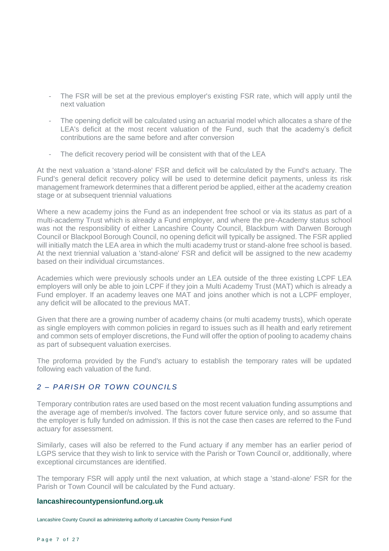- The FSR will be set at the previous employer's existing FSR rate, which will apply until the next valuation
- The opening deficit will be calculated using an actuarial model which allocates a share of the LEA's deficit at the most recent valuation of the Fund, such that the academy's deficit contributions are the same before and after conversion
- The deficit recovery period will be consistent with that of the LEA

At the next valuation a 'stand-alone' FSR and deficit will be calculated by the Fund's actuary. The Fund's general deficit recovery policy will be used to determine deficit payments, unless its risk management framework determines that a different period be applied, either at the academy creation stage or at subsequent triennial valuations

Where a new academy joins the Fund as an independent free school or via its status as part of a multi-academy Trust which is already a Fund employer, and where the pre-Academy status school was not the responsibility of either Lancashire County Council, Blackburn with Darwen Borough Council or Blackpool Borough Council, no opening deficit will typically be assigned. The FSR applied will initially match the LEA area in which the multi academy trust or stand-alone free school is based. At the next triennial valuation a 'stand-alone' FSR and deficit will be assigned to the new academy based on their individual circumstances.

Academies which were previously schools under an LEA outside of the three existing LCPF LEA employers will only be able to join LCPF if they join a Multi Academy Trust (MAT) which is already a Fund employer. If an academy leaves one MAT and joins another which is not a LCPF employer, any deficit will be allocated to the previous MAT.

Given that there are a growing number of academy chains (or multi academy trusts), which operate as single employers with common policies in regard to issues such as ill health and early retirement and common sets of employer discretions, the Fund will offer the option of pooling to academy chains as part of subsequent valuation exercises.

The proforma provided by the Fund's actuary to establish the temporary rates will be updated following each valuation of the fund.

# 2 - PARISH OR TOWN COUNCILS

Temporary contribution rates are used based on the most recent valuation funding assumptions and the average age of member/s involved. The factors cover future service only, and so assume that the employer is fully funded on admission. If this is not the case then cases are referred to the Fund actuary for assessment.

Similarly, cases will also be referred to the Fund actuary if any member has an earlier period of LGPS service that they wish to link to service with the Parish or Town Council or, additionally, where exceptional circumstances are identified.

The temporary FSR will apply until the next valuation, at which stage a 'stand-alone' FSR for the Parish or Town Council will be calculated by the Fund actuary.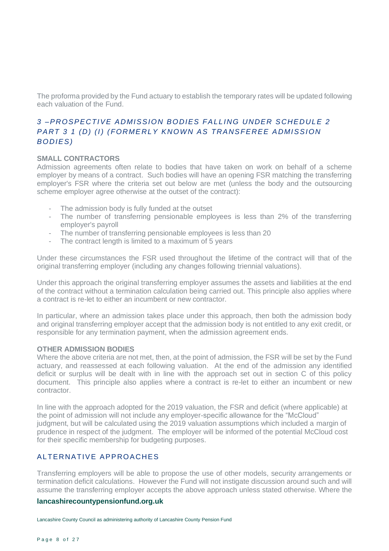The proforma provided by the Fund actuary to establish the temporary rates will be updated following each valuation of the Fund.

# *3 –PROSPECTIVE ADMISSION BODIES FAL L ING UNDER SCHED UL E 2 PART 3 1 (D) (I) (FORMERLY KNOWN AS TRANSFEREE ADMISSION BODIES)*

# **SMALL CONTRACTORS**

Admission agreements often relate to bodies that have taken on work on behalf of a scheme employer by means of a contract. Such bodies will have an opening FSR matching the transferring employer's FSR where the criteria set out below are met (unless the body and the outsourcing scheme employer agree otherwise at the outset of the contract):

- The admission body is fully funded at the outset
- The number of transferring pensionable employees is less than 2% of the transferring employer's payroll
- The number of transferring pensionable employees is less than 20
- The contract length is limited to a maximum of 5 years

Under these circumstances the FSR used throughout the lifetime of the contract will that of the original transferring employer (including any changes following triennial valuations).

Under this approach the original transferring employer assumes the assets and liabilities at the end of the contract without a termination calculation being carried out. This principle also applies where a contract is re-let to either an incumbent or new contractor.

In particular, where an admission takes place under this approach, then both the admission body and original transferring employer accept that the admission body is not entitled to any exit credit, or responsible for any termination payment, when the admission agreement ends.

#### **OTHER ADMISSION BODIES**

Where the above criteria are not met, then, at the point of admission, the FSR will be set by the Fund actuary, and reassessed at each following valuation. At the end of the admission any identified deficit or surplus will be dealt with in line with the approach set out in section C of this policy document. This principle also applies where a contract is re-let to either an incumbent or new contractor.

In line with the approach adopted for the 2019 valuation, the FSR and deficit (where applicable) at the point of admission will not include any employer-specific allowance for the "McCloud" judgment, but will be calculated using the 2019 valuation assumptions which included a margin of prudence in respect of the judgment. The employer will be informed of the potential McCloud cost for their specific membership for budgeting purposes.

# AL TERNATIVE APPROACHES

Transferring employers will be able to propose the use of other models, security arrangements or termination deficit calculations. However the Fund will not instigate discussion around such and will assume the transferring employer accepts the above approach unless stated otherwise. Where the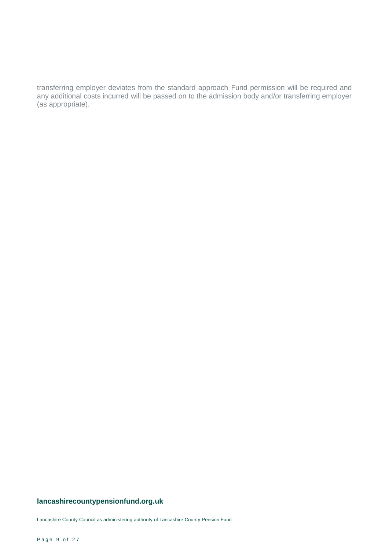transferring employer deviates from the standard approach Fund permission will be required and any additional costs incurred will be passed on to the admission body and/or transferring employer (as appropriate).

# **lancashirecountypensionfund.org.uk**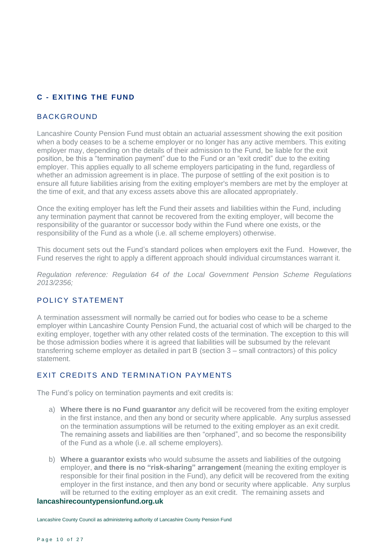# **C - EXIT ING T HE FUND**

# BACKGROUND

Lancashire County Pension Fund must obtain an actuarial assessment showing the exit position when a body ceases to be a scheme employer or no longer has any active members. This exiting employer may, depending on the details of their admission to the Fund, be liable for the exit position, be this a "termination payment" due to the Fund or an "exit credit" due to the exiting employer. This applies equally to all scheme employers participating in the fund, regardless of whether an admission agreement is in place. The purpose of settling of the exit position is to ensure all future liabilities arising from the exiting employer's members are met by the employer at the time of exit, and that any excess assets above this are allocated appropriately.

Once the exiting employer has left the Fund their assets and liabilities within the Fund, including any termination payment that cannot be recovered from the exiting employer, will become the responsibility of the guarantor or successor body within the Fund where one exists, or the responsibility of the Fund as a whole (i.e. all scheme employers) otherwise.

This document sets out the Fund's standard polices when employers exit the Fund. However, the Fund reserves the right to apply a different approach should individual circumstances warrant it.

*Regulation reference: Regulation 64 of the Local Government Pension Scheme Regulations 2013/2356;*

# POL ICY STATEMENT

A termination assessment will normally be carried out for bodies who cease to be a scheme employer within Lancashire County Pension Fund, the actuarial cost of which will be charged to the exiting employer, together with any other related costs of the termination. The exception to this will be those admission bodies where it is agreed that liabilities will be subsumed by the relevant transferring scheme employer as detailed in part B (section 3 – small contractors) of this policy statement

# **EXIT CREDITS AND TERMINATION PAYMENTS**

The Fund's policy on termination payments and exit credits is:

- a) **Where there is no Fund guarantor** any deficit will be recovered from the exiting employer in the first instance, and then any bond or security where applicable. Any surplus assessed on the termination assumptions will be returned to the exiting employer as an exit credit. The remaining assets and liabilities are then "orphaned", and so become the responsibility of the Fund as a whole (i.e. all scheme employers).
- b) **Where a guarantor exists** who would subsume the assets and liabilities of the outgoing employer, **and there is no "risk-sharing" arrangement** (meaning the exiting employer is responsible for their final position in the Fund), any deficit will be recovered from the exiting employer in the first instance, and then any bond or security where applicable. Any surplus will be returned to the exiting employer as an exit credit. The remaining assets and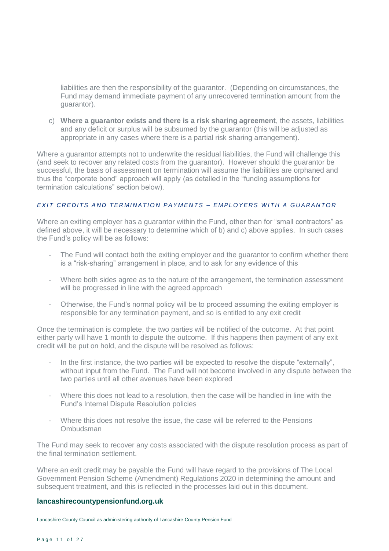liabilities are then the responsibility of the guarantor. (Depending on circumstances, the Fund may demand immediate payment of any unrecovered termination amount from the guarantor).

c) **Where a guarantor exists and there is a risk sharing agreement**, the assets, liabilities and any deficit or surplus will be subsumed by the guarantor (this will be adjusted as appropriate in any cases where there is a partial risk sharing arrangement).

Where a guarantor attempts not to underwrite the residual liabilities, the Fund will challenge this (and seek to recover any related costs from the guarantor). However should the guarantor be successful, the basis of assessment on termination will assume the liabilities are orphaned and thus the "corporate bond" approach will apply (as detailed in the "funding assumptions for termination calculations" section below).

# *E X I T C R E D I T S A N D T E R M I N A T I O N P A Y M E N T S – E M P L O Y E R S W I T H A G U A R A N T O R*

Where an exiting employer has a guarantor within the Fund, other than for "small contractors" as defined above, it will be necessary to determine which of b) and c) above applies. In such cases the Fund's policy will be as follows:

- The Fund will contact both the exiting employer and the guarantor to confirm whether there is a "risk-sharing" arrangement in place, and to ask for any evidence of this
- Where both sides agree as to the nature of the arrangement, the termination assessment will be progressed in line with the agreed approach
- Otherwise, the Fund's normal policy will be to proceed assuming the exiting employer is responsible for any termination payment, and so is entitled to any exit credit

Once the termination is complete, the two parties will be notified of the outcome. At that point either party will have 1 month to dispute the outcome. If this happens then payment of any exit credit will be put on hold, and the dispute will be resolved as follows:

- In the first instance, the two parties will be expected to resolve the dispute "externally", without input from the Fund. The Fund will not become involved in any dispute between the two parties until all other avenues have been explored
- Where this does not lead to a resolution, then the case will be handled in line with the Fund's Internal Dispute Resolution policies
- Where this does not resolve the issue, the case will be referred to the Pensions Ombudsman

The Fund may seek to recover any costs associated with the dispute resolution process as part of the final termination settlement.

Where an exit credit may be payable the Fund will have regard to the provisions of The Local Government Pension Scheme (Amendment) Regulations 2020 in determining the amount and subsequent treatment, and this is reflected in the processes laid out in this document.

#### **lancashirecountypensionfund.org.uk**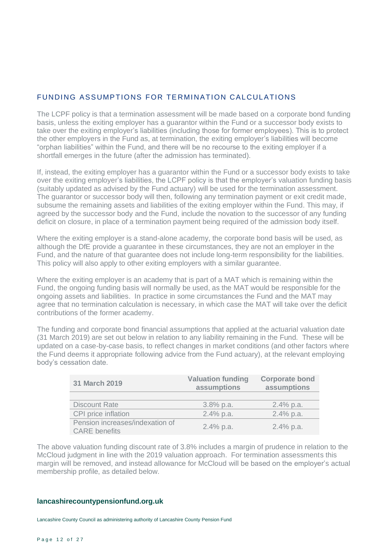# FUNDING ASSUMPTIONS FOR TERMINATION CALCULATIONS

The LCPF policy is that a termination assessment will be made based on a corporate bond funding basis, unless the exiting employer has a guarantor within the Fund or a successor body exists to take over the exiting employer's liabilities (including those for former employees). This is to protect the other employers in the Fund as, at termination, the exiting employer's liabilities will become "orphan liabilities" within the Fund, and there will be no recourse to the exiting employer if a shortfall emerges in the future (after the admission has terminated).

If, instead, the exiting employer has a guarantor within the Fund or a successor body exists to take over the exiting employer's liabilities, the LCPF policy is that the employer's valuation funding basis (suitably updated as advised by the Fund actuary) will be used for the termination assessment. The guarantor or successor body will then, following any termination payment or exit credit made, subsume the remaining assets and liabilities of the exiting employer within the Fund. This may, if agreed by the successor body and the Fund, include the novation to the successor of any funding deficit on closure, in place of a termination payment being required of the admission body itself.

Where the exiting employer is a stand-alone academy, the corporate bond basis will be used, as although the DfE provide a guarantee in these circumstances, they are not an employer in the Fund, and the nature of that guarantee does not include long-term responsibility for the liabilities. This policy will also apply to other exiting employers with a similar guarantee.

Where the exiting employer is an academy that is part of a MAT which is remaining within the Fund, the ongoing funding basis will normally be used, as the MAT would be responsible for the ongoing assets and liabilities. In practice in some circumstances the Fund and the MAT may agree that no termination calculation is necessary, in which case the MAT will take over the deficit contributions of the former academy.

The funding and corporate bond financial assumptions that applied at the actuarial valuation date (31 March 2019) are set out below in relation to any liability remaining in the Fund. These will be updated on a case-by-case basis, to reflect changes in market conditions (and other factors where the Fund deems it appropriate following advice from the Fund actuary), at the relevant employing body's cessation date.

| 31 March 2019                                           | <b>Valuation funding</b><br>assumptions | <b>Corporate bond</b><br>assumptions |
|---------------------------------------------------------|-----------------------------------------|--------------------------------------|
|                                                         |                                         |                                      |
| <b>Discount Rate</b>                                    | $3.8\%$ p.a.                            | $2.4\%$ p.a.                         |
| CPI price inflation                                     | $2.4\%$ p.a.                            | $2.4\%$ p.a.                         |
| Pension increases/indexation of<br><b>CARE</b> benefits | $2.4\%$ p.a.                            | $2.4\%$ p.a.                         |

The above valuation funding discount rate of 3.8% includes a margin of prudence in relation to the McCloud judgment in line with the 2019 valuation approach. For termination assessments this margin will be removed, and instead allowance for McCloud will be based on the employer's actual membership profile, as detailed below.

#### **lancashirecountypensionfund.org.uk**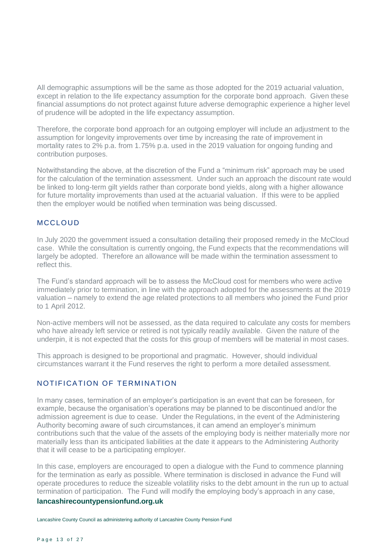All demographic assumptions will be the same as those adopted for the 2019 actuarial valuation, except in relation to the life expectancy assumption for the corporate bond approach. Given these financial assumptions do not protect against future adverse demographic experience a higher level of prudence will be adopted in the life expectancy assumption.

Therefore, the corporate bond approach for an outgoing employer will include an adjustment to the assumption for longevity improvements over time by increasing the rate of improvement in mortality rates to 2% p.a. from 1.75% p.a. used in the 2019 valuation for ongoing funding and contribution purposes.

Notwithstanding the above, at the discretion of the Fund a "minimum risk" approach may be used for the calculation of the termination assessment. Under such an approach the discount rate would be linked to long-term gilt yields rather than corporate bond yields, along with a higher allowance for future mortality improvements than used at the actuarial valuation. If this were to be applied then the employer would be notified when termination was being discussed.

# MCCL OUD

In July 2020 the government issued a consultation detailing their proposed remedy in the McCloud case. While the consultation is currently ongoing, the Fund expects that the recommendations will largely be adopted. Therefore an allowance will be made within the termination assessment to reflect this.

The Fund's standard approach will be to assess the McCloud cost for members who were active immediately prior to termination, in line with the approach adopted for the assessments at the 2019 valuation – namely to extend the age related protections to all members who joined the Fund prior to 1 April 2012.

Non-active members will not be assessed, as the data required to calculate any costs for members who have already left service or retired is not typically readily available. Given the nature of the underpin, it is not expected that the costs for this group of members will be material in most cases.

This approach is designed to be proportional and pragmatic. However, should individual circumstances warrant it the Fund reserves the right to perform a more detailed assessment.

# NOTIFICATION OF TERMINATION

In many cases, termination of an employer's participation is an event that can be foreseen, for example, because the organisation's operations may be planned to be discontinued and/or the admission agreement is due to cease. Under the Regulations, in the event of the Administering Authority becoming aware of such circumstances, it can amend an employer's minimum contributions such that the value of the assets of the employing body is neither materially more nor materially less than its anticipated liabilities at the date it appears to the Administering Authority that it will cease to be a participating employer.

In this case, employers are encouraged to open a dialogue with the Fund to commence planning for the termination as early as possible. Where termination is disclosed in advance the Fund will operate procedures to reduce the sizeable volatility risks to the debt amount in the run up to actual termination of participation. The Fund will modify the employing body's approach in any case,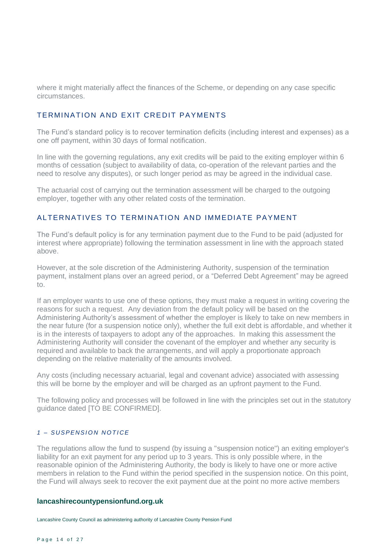where it might materially affect the finances of the Scheme, or depending on any case specific circumstances.

# TERMINATION AND EXIT CREDIT PAYMENTS

The Fund's standard policy is to recover termination deficits (including interest and expenses) as a one off payment, within 30 days of formal notification.

In line with the governing regulations, any exit credits will be paid to the exiting employer within 6 months of cessation (subject to availability of data, co-operation of the relevant parties and the need to resolve any disputes), or such longer period as may be agreed in the individual case.

The actuarial cost of carrying out the termination assessment will be charged to the outgoing employer, together with any other related costs of the termination.

#### ALTERNATIVES TO TERMINATION AND IMMEDIATE PAYMENT

The Fund's default policy is for any termination payment due to the Fund to be paid (adjusted for interest where appropriate) following the termination assessment in line with the approach stated above.

However, at the sole discretion of the Administering Authority, suspension of the termination payment, instalment plans over an agreed period, or a "Deferred Debt Agreement" may be agreed to.

If an employer wants to use one of these options, they must make a request in writing covering the reasons for such a request. Any deviation from the default policy will be based on the Administering Authority's assessment of whether the employer is likely to take on new members in the near future (for a suspension notice only), whether the full exit debt is affordable, and whether it is in the interests of taxpayers to adopt any of the approaches. In making this assessment the Administering Authority will consider the covenant of the employer and whether any security is required and available to back the arrangements, and will apply a proportionate approach depending on the relative materiality of the amounts involved.

Any costs (including necessary actuarial, legal and covenant advice) associated with assessing this will be borne by the employer and will be charged as an upfront payment to the Fund.

The following policy and processes will be followed in line with the principles set out in the statutory guidance dated [TO BE CONFIRMED].

#### *1 – S U S P E N S I O N N O T I C E*

The regulations allow the fund to suspend (by issuing a "suspension notice") an exiting employer's liability for an exit payment for any period up to 3 years. This is only possible where, in the reasonable opinion of the Administering Authority, the body is likely to have one or more active members in relation to the Fund within the period specified in the suspension notice. On this point, the Fund will always seek to recover the exit payment due at the point no more active members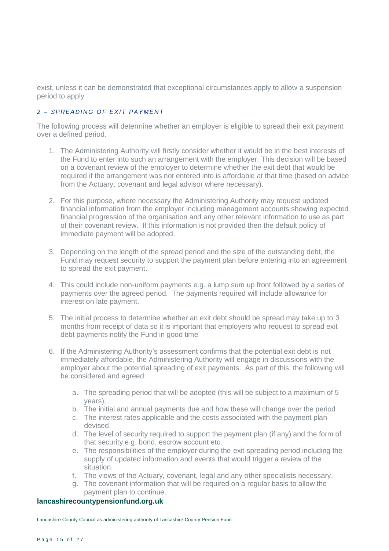exist, unless it can be demonstrated that exceptional circumstances apply to allow a suspension period to apply.

# 2 – *SPREADING OF EXIT PAYMENT*

The following process will determine whether an employer is eligible to spread their exit payment over a defined period.

- 1. The Administering Authority will firstly consider whether it would be in the best interests of the Fund to enter into such an arrangement with the employer. This decision will be based on a covenant review of the employer to determine whether the exit debt that would be required if the arrangement was not entered into is affordable at that time (based on advice from the Actuary, covenant and legal advisor where necessary).
- 2. For this purpose, where necessary the Administering Authority may request updated financial information from the employer including management accounts showing expected financial progression of the organisation and any other relevant information to use as part of their covenant review. If this information is not provided then the default policy of immediate payment will be adopted.
- 3. Depending on the length of the spread period and the size of the outstanding debt, the Fund may request security to support the payment plan before entering into an agreement to spread the exit payment.
- 4. This could include non-uniform payments e.g. a lump sum up front followed by a series of payments over the agreed period. The payments required will include allowance for interest on late payment.
- 5. The initial process to determine whether an exit debt should be spread may take up to 3 months from receipt of data so it is important that employers who request to spread exit debt payments notify the Fund in good time
- 6. If the Administering Authority's assessment confirms that the potential exit debt is not immediately affordable, the Administering Authority will engage in discussions with the employer about the potential spreading of exit payments. As part of this, the following will be considered and agreed:
	- a. The spreading period that will be adopted (this will be subject to a maximum of 5 years).
	- b. The initial and annual payments due and how these will change over the period.
	- c. The interest rates applicable and the costs associated with the payment plan devised.
	- d. The level of security required to support the payment plan (if any) and the form of that security e.g. bond, escrow account etc.
	- e. The responsibilities of the employer during the exit-spreading period including the supply of updated information and events that would trigger a review of the situation.
	- f. The views of the Actuary, covenant, legal and any other specialists necessary.
	- g. The covenant information that will be required on a regular basis to allow the payment plan to continue.

# **lancashirecountypensionfund.org.uk**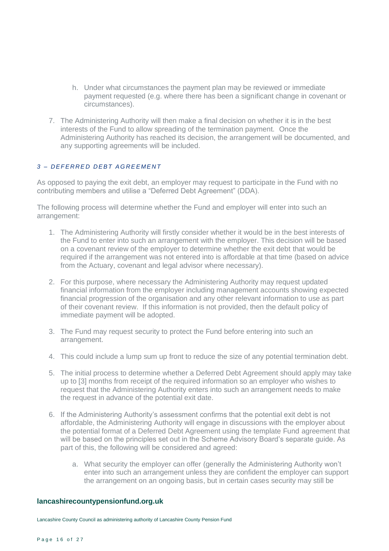- h. Under what circumstances the payment plan may be reviewed or immediate payment requested (e.g. where there has been a significant change in covenant or circumstances).
- 7. The Administering Authority will then make a final decision on whether it is in the best interests of the Fund to allow spreading of the termination payment. Once the Administering Authority has reached its decision, the arrangement will be documented, and any supporting agreements will be included.

#### *3 – D E F E R R E D D E B T A G R E E M E N T*

As opposed to paying the exit debt, an employer may request to participate in the Fund with no contributing members and utilise a "Deferred Debt Agreement" (DDA).

The following process will determine whether the Fund and employer will enter into such an arrangement:

- 1. The Administering Authority will firstly consider whether it would be in the best interests of the Fund to enter into such an arrangement with the employer. This decision will be based on a covenant review of the employer to determine whether the exit debt that would be required if the arrangement was not entered into is affordable at that time (based on advice from the Actuary, covenant and legal advisor where necessary).
- 2. For this purpose, where necessary the Administering Authority may request updated financial information from the employer including management accounts showing expected financial progression of the organisation and any other relevant information to use as part of their covenant review. If this information is not provided, then the default policy of immediate payment will be adopted.
- 3. The Fund may request security to protect the Fund before entering into such an arrangement.
- 4. This could include a lump sum up front to reduce the size of any potential termination debt.
- 5. The initial process to determine whether a Deferred Debt Agreement should apply may take up to [3] months from receipt of the required information so an employer who wishes to request that the Administering Authority enters into such an arrangement needs to make the request in advance of the potential exit date.
- 6. If the Administering Authority's assessment confirms that the potential exit debt is not affordable, the Administering Authority will engage in discussions with the employer about the potential format of a Deferred Debt Agreement using the template Fund agreement that will be based on the principles set out in the Scheme Advisory Board's separate guide. As part of this, the following will be considered and agreed:
	- a. What security the employer can offer (generally the Administering Authority won't enter into such an arrangement unless they are confident the employer can support the arrangement on an ongoing basis, but in certain cases security may still be

#### **lancashirecountypensionfund.org.uk**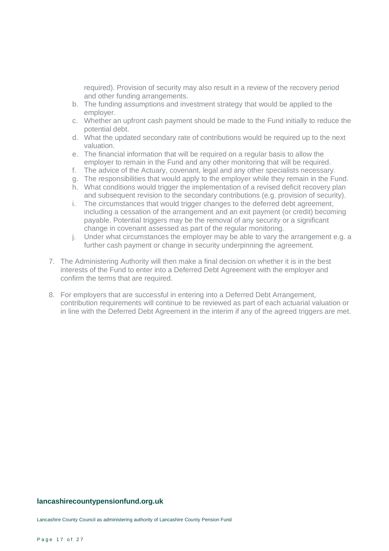required). Provision of security may also result in a review of the recovery period and other funding arrangements.

- b. The funding assumptions and investment strategy that would be applied to the employer.
- c. Whether an upfront cash payment should be made to the Fund initially to reduce the potential debt.
- d. What the updated secondary rate of contributions would be required up to the next valuation.
- e. The financial information that will be required on a regular basis to allow the employer to remain in the Fund and any other monitoring that will be required.
- f. The advice of the Actuary, covenant, legal and any other specialists necessary.
- g. The responsibilities that would apply to the employer while they remain in the Fund.
- h. What conditions would trigger the implementation of a revised deficit recovery plan and subsequent revision to the secondary contributions (e.g. provision of security).
- i. The circumstances that would trigger changes to the deferred debt agreement, including a cessation of the arrangement and an exit payment (or credit) becoming payable. Potential triggers may be the removal of any security or a significant change in covenant assessed as part of the regular monitoring.
- j. Under what circumstances the employer may be able to vary the arrangement e.g. a further cash payment or change in security underpinning the agreement.
- 7. The Administering Authority will then make a final decision on whether it is in the best interests of the Fund to enter into a Deferred Debt Agreement with the employer and confirm the terms that are required.
- 8. For employers that are successful in entering into a Deferred Debt Arrangement, contribution requirements will continue to be reviewed as part of each actuarial valuation or in line with the Deferred Debt Agreement in the interim if any of the agreed triggers are met.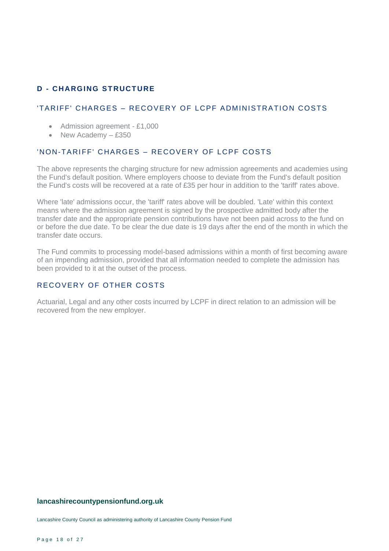# **D - CHARGING STRUCTURE**

# 'TARIFF' CHARGES – RECOVERY OF LCPF ADMINISTRATION COSTS

- Admission agreement £1,000
- New Academy £350

#### 'NON-TARIFF' CHARGES - RECOVERY OF LCPF COSTS

The above represents the charging structure for new admission agreements and academies using the Fund's default position. Where employers choose to deviate from the Fund's default position the Fund's costs will be recovered at a rate of £35 per hour in addition to the 'tariff' rates above.

Where 'late' admissions occur, the 'tariff' rates above will be doubled. 'Late' within this context means where the admission agreement is signed by the prospective admitted body after the transfer date and the appropriate pension contributions have not been paid across to the fund on or before the due date. To be clear the due date is 19 days after the end of the month in which the transfer date occurs.

The Fund commits to processing model-based admissions within a month of first becoming aware of an impending admission, provided that all information needed to complete the admission has been provided to it at the outset of the process.

# RECOVERY OF OTHER COSTS

Actuarial, Legal and any other costs incurred by LCPF in direct relation to an admission will be recovered from the new employer.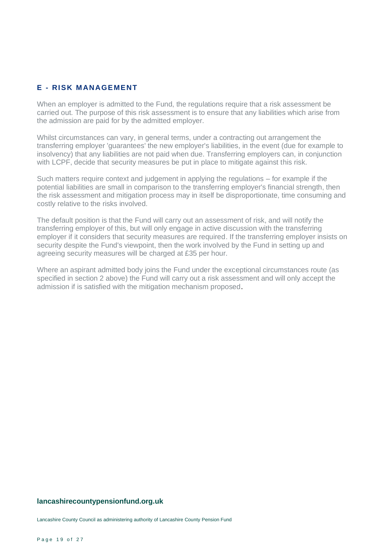# **E - RISK M ANAGEMENT**

When an employer is admitted to the Fund, the regulations require that a risk assessment be carried out. The purpose of this risk assessment is to ensure that any liabilities which arise from the admission are paid for by the admitted employer.

Whilst circumstances can vary, in general terms, under a contracting out arrangement the transferring employer 'guarantees' the new employer's liabilities, in the event (due for example to insolvency) that any liabilities are not paid when due. Transferring employers can, in conjunction with LCPF, decide that security measures be put in place to mitigate against this risk.

Such matters require context and judgement in applying the regulations – for example if the potential liabilities are small in comparison to the transferring employer's financial strength, then the risk assessment and mitigation process may in itself be disproportionate, time consuming and costly relative to the risks involved.

The default position is that the Fund will carry out an assessment of risk, and will notify the transferring employer of this, but will only engage in active discussion with the transferring employer if it considers that security measures are required. If the transferring employer insists on security despite the Fund's viewpoint, then the work involved by the Fund in setting up and agreeing security measures will be charged at £35 per hour.

Where an aspirant admitted body joins the Fund under the exceptional circumstances route (as specified in section 2 above) the Fund will carry out a risk assessment and will only accept the admission if is satisfied with the mitigation mechanism proposed.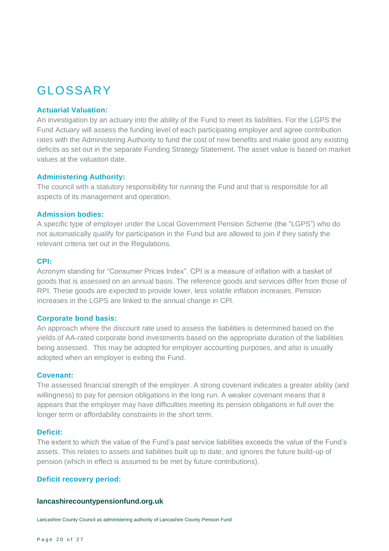# GLOSSARY

#### **Actuarial Valuation:**

An investigation by an actuary into the ability of the Fund to meet its liabilities. For the LGPS the Fund Actuary will assess the funding level of each participating employer and agree contribution rates with the Administering Authority to fund the cost of new benefits and make good any existing deficits as set out in the separate Funding Strategy Statement. The asset value is based on market values at the valuation date.

#### **Administering Authority:**

The council with a statutory responsibility for running the Fund and that is responsible for all aspects of its management and operation.

#### **Admission bodies:**

A specific type of employer under the Local Government Pension Scheme (the "LGPS") who do not automatically qualify for participation in the Fund but are allowed to join if they satisfy the relevant criteria set out in the Regulations.

#### **CPI:**

Acronym standing for "Consumer Prices Index". CPI is a measure of inflation with a basket of goods that is assessed on an annual basis. The reference goods and services differ from those of RPI. These goods are expected to provide lower, less volatile inflation increases. Pension increases in the LGPS are linked to the annual change in CPI.

#### **Corporate bond basis:**

An approach where the discount rate used to assess the liabilities is determined based on the yields of AA-rated corporate bond investments based on the appropriate duration of the liabilities being assessed. This may be adopted for employer accounting purposes, and also is usually adopted when an employer is exiting the Fund.

#### **Covenant:**

The assessed financial strength of the employer. A strong covenant indicates a greater ability (and willingness) to pay for pension obligations in the long run. A weaker covenant means that it appears that the employer may have difficulties meeting its pension obligations in full over the longer term or affordability constraints in the short term.

#### **Deficit:**

The extent to which the value of the Fund's past service liabilities exceeds the value of the Fund's assets. This relates to assets and liabilities built up to date, and ignores the future build-up of pension (which in effect is assumed to be met by future contributions).

#### **Deficit recovery period:**

#### **lancashirecountypensionfund.org.uk**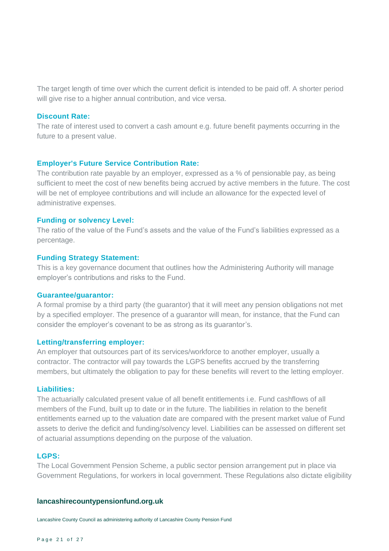The target length of time over which the current deficit is intended to be paid off. A shorter period will give rise to a higher annual contribution, and vice versa.

#### **Discount Rate:**

The rate of interest used to convert a cash amount e.g. future benefit payments occurring in the future to a present value.

#### **Employer's Future Service Contribution Rate:**

The contribution rate payable by an employer, expressed as a % of pensionable pay, as being sufficient to meet the cost of new benefits being accrued by active members in the future. The cost will be net of employee contributions and will include an allowance for the expected level of administrative expenses.

#### **Funding or solvency Level:**

The ratio of the value of the Fund's assets and the value of the Fund's liabilities expressed as a percentage.

#### **Funding Strategy Statement:**

This is a key governance document that outlines how the Administering Authority will manage employer's contributions and risks to the Fund.

#### **Guarantee/guarantor:**

A formal promise by a third party (the guarantor) that it will meet any pension obligations not met by a specified employer. The presence of a guarantor will mean, for instance, that the Fund can consider the employer's covenant to be as strong as its guarantor's.

#### **Letting/transferring employer:**

An employer that outsources part of its services/workforce to another employer, usually a contractor. The contractor will pay towards the LGPS benefits accrued by the transferring members, but ultimately the obligation to pay for these benefits will revert to the letting employer.

#### **Liabilities:**

The actuarially calculated present value of all benefit entitlements i.e. Fund cashflows of all members of the Fund, built up to date or in the future. The liabilities in relation to the benefit entitlements earned up to the valuation date are compared with the present market value of Fund assets to derive the deficit and funding/solvency level. Liabilities can be assessed on different set of actuarial assumptions depending on the purpose of the valuation.

#### **LGPS:**

The Local Government Pension Scheme, a public sector pension arrangement put in place via Government Regulations, for workers in local government. These Regulations also dictate eligibility

#### **lancashirecountypensionfund.org.uk**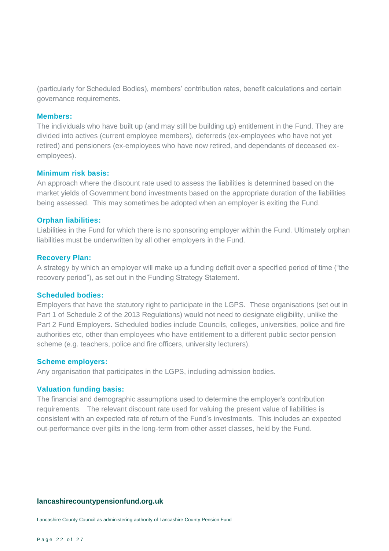(particularly for Scheduled Bodies), members' contribution rates, benefit calculations and certain governance requirements.

#### **Members:**

The individuals who have built up (and may still be building up) entitlement in the Fund. They are divided into actives (current employee members), deferreds (ex-employees who have not yet retired) and pensioners (ex-employees who have now retired, and dependants of deceased exemployees).

#### **Minimum risk basis:**

An approach where the discount rate used to assess the liabilities is determined based on the market yields of Government bond investments based on the appropriate duration of the liabilities being assessed. This may sometimes be adopted when an employer is exiting the Fund.

#### **Orphan liabilities:**

Liabilities in the Fund for which there is no sponsoring employer within the Fund. Ultimately orphan liabilities must be underwritten by all other employers in the Fund.

#### **Recovery Plan:**

A strategy by which an employer will make up a funding deficit over a specified period of time ("the recovery period"), as set out in the Funding Strategy Statement.

#### **Scheduled bodies:**

Employers that have the statutory right to participate in the LGPS. These organisations (set out in Part 1 of Schedule 2 of the 2013 Regulations) would not need to designate eligibility, unlike the Part 2 Fund Employers. Scheduled bodies include Councils, colleges, universities, police and fire authorities etc, other than employees who have entitlement to a different public sector pension scheme (e.g. teachers, police and fire officers, university lecturers).

#### **Scheme employers:**

Any organisation that participates in the LGPS, including admission bodies.

#### **Valuation funding basis:**

The financial and demographic assumptions used to determine the employer's contribution requirements. The relevant discount rate used for valuing the present value of liabilities is consistent with an expected rate of return of the Fund's investments. This includes an expected out-performance over gilts in the long-term from other asset classes, held by the Fund.

#### **lancashirecountypensionfund.org.uk**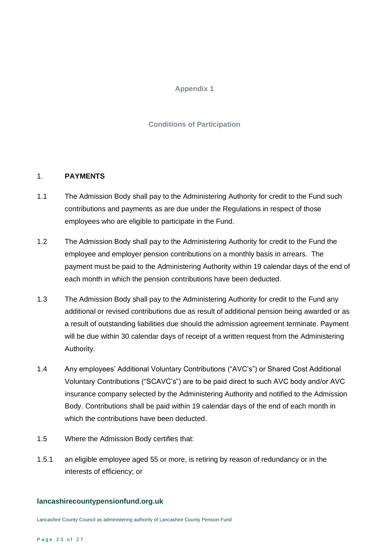# **Appendix 1**

# **Conditions of Participation**

# 1. **PAYMENTS**

- 1.1 The Admission Body shall pay to the Administering Authority for credit to the Fund such contributions and payments as are due under the Regulations in respect of those employees who are eligible to participate in the Fund.
- 1.2 The Admission Body shall pay to the Administering Authority for credit to the Fund the employee and employer pension contributions on a monthly basis in arrears. The payment must be paid to the Administering Authority within 19 calendar days of the end of each month in which the pension contributions have been deducted.
- 1.3 The Admission Body shall pay to the Administering Authority for credit to the Fund any additional or revised contributions due as result of additional pension being awarded or as a result of outstanding liabilities due should the admission agreement terminate. Payment will be due within 30 calendar days of receipt of a written request from the Administering Authority.
- 1.4 Any employees' Additional Voluntary Contributions ("AVC's") or Shared Cost Additional Voluntary Contributions ("SCAVC's") are to be paid direct to such AVC body and/or AVC insurance company selected by the Administering Authority and notified to the Admission Body. Contributions shall be paid within 19 calendar days of the end of each month in which the contributions have been deducted.
- 1.5 Where the Admission Body certifies that:
- 1.5.1 an eligible employee aged 55 or more, is retiring by reason of redundancy or in the interests of efficiency; or

# **lancashirecountypensionfund.org.uk**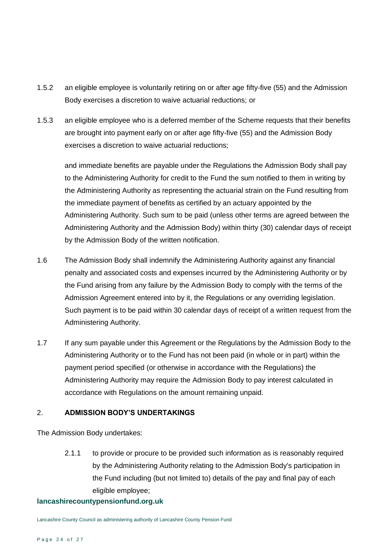- 1.5.2 an eligible employee is voluntarily retiring on or after age fifty-five (55) and the Admission Body exercises a discretion to waive actuarial reductions; or
- 1.5.3 an eligible employee who is a deferred member of the Scheme requests that their benefits are brought into payment early on or after age fifty-five (55) and the Admission Body exercises a discretion to waive actuarial reductions;

and immediate benefits are payable under the Regulations the Admission Body shall pay to the Administering Authority for credit to the Fund the sum notified to them in writing by the Administering Authority as representing the actuarial strain on the Fund resulting from the immediate payment of benefits as certified by an actuary appointed by the Administering Authority. Such sum to be paid (unless other terms are agreed between the Administering Authority and the Admission Body) within thirty (30) calendar days of receipt by the Admission Body of the written notification.

- 1.6 The Admission Body shall indemnify the Administering Authority against any financial penalty and associated costs and expenses incurred by the Administering Authority or by the Fund arising from any failure by the Admission Body to comply with the terms of the Admission Agreement entered into by it, the Regulations or any overriding legislation. Such payment is to be paid within 30 calendar days of receipt of a written request from the Administering Authority.
- 1.7 If any sum payable under this Agreement or the Regulations by the Admission Body to the Administering Authority or to the Fund has not been paid (in whole or in part) within the payment period specified (or otherwise in accordance with the Regulations) the Administering Authority may require the Admission Body to pay interest calculated in accordance with Regulations on the amount remaining unpaid.

# 2. **ADMISSION BODY'S UNDERTAKINGS**

The Admission Body undertakes:

2.1.1 to provide or procure to be provided such information as is reasonably required by the Administering Authority relating to the Admission Body's participation in the Fund including (but not limited to) details of the pay and final pay of each eligible employee;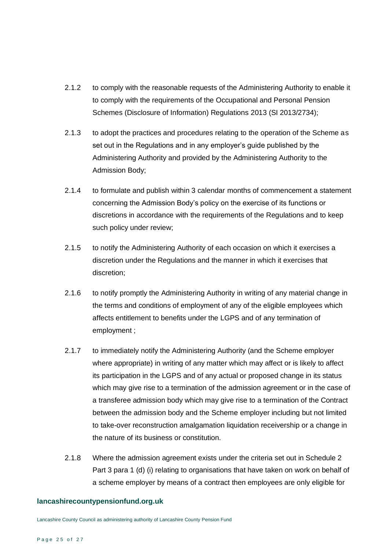- 2.1.2 to comply with the reasonable requests of the Administering Authority to enable it to comply with the requirements of the Occupational and Personal Pension Schemes (Disclosure of Information) Regulations 2013 (SI 2013/2734);
- 2.1.3 to adopt the practices and procedures relating to the operation of the Scheme as set out in the Regulations and in any employer's guide published by the Administering Authority and provided by the Administering Authority to the Admission Body;
- 2.1.4 to formulate and publish within 3 calendar months of commencement a statement concerning the Admission Body's policy on the exercise of its functions or discretions in accordance with the requirements of the Regulations and to keep such policy under review;
- 2.1.5 to notify the Administering Authority of each occasion on which it exercises a discretion under the Regulations and the manner in which it exercises that discretion;
- 2.1.6 to notify promptly the Administering Authority in writing of any material change in the terms and conditions of employment of any of the eligible employees which affects entitlement to benefits under the LGPS and of any termination of employment ;
- 2.1.7 to immediately notify the Administering Authority (and the Scheme employer where appropriate) in writing of any matter which may affect or is likely to affect its participation in the LGPS and of any actual or proposed change in its status which may give rise to a termination of the admission agreement or in the case of a transferee admission body which may give rise to a termination of the Contract between the admission body and the Scheme employer including but not limited to take-over reconstruction amalgamation liquidation receivership or a change in the nature of its business or constitution.
- 2.1.8 Where the admission agreement exists under the criteria set out in Schedule 2 Part 3 para 1 (d) (i) relating to organisations that have taken on work on behalf of a scheme employer by means of a contract then employees are only eligible for

#### **lancashirecountypensionfund.org.uk**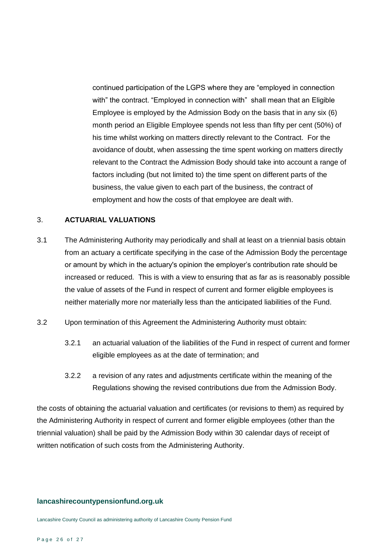continued participation of the LGPS where they are "employed in connection with" the contract. "Employed in connection with" shall mean that an Eligible Employee is employed by the Admission Body on the basis that in any six (6) month period an Eligible Employee spends not less than fifty per cent (50%) of his time whilst working on matters directly relevant to the Contract. For the avoidance of doubt, when assessing the time spent working on matters directly relevant to the Contract the Admission Body should take into account a range of factors including (but not limited to) the time spent on different parts of the business, the value given to each part of the business, the contract of employment and how the costs of that employee are dealt with.

# 3. **ACTUARIAL VALUATIONS**

- 3.1 The Administering Authority may periodically and shall at least on a triennial basis obtain from an actuary a certificate specifying in the case of the Admission Body the percentage or amount by which in the actuary's opinion the employer's contribution rate should be increased or reduced. This is with a view to ensuring that as far as is reasonably possible the value of assets of the Fund in respect of current and former eligible employees is neither materially more nor materially less than the anticipated liabilities of the Fund.
- 3.2 Upon termination of this Agreement the Administering Authority must obtain:
	- 3.2.1 an actuarial valuation of the liabilities of the Fund in respect of current and former eligible employees as at the date of termination; and
	- 3.2.2 a revision of any rates and adjustments certificate within the meaning of the Regulations showing the revised contributions due from the Admission Body.

the costs of obtaining the actuarial valuation and certificates (or revisions to them) as required by the Administering Authority in respect of current and former eligible employees (other than the triennial valuation) shall be paid by the Admission Body within 30 calendar days of receipt of written notification of such costs from the Administering Authority.

#### **lancashirecountypensionfund.org.uk**